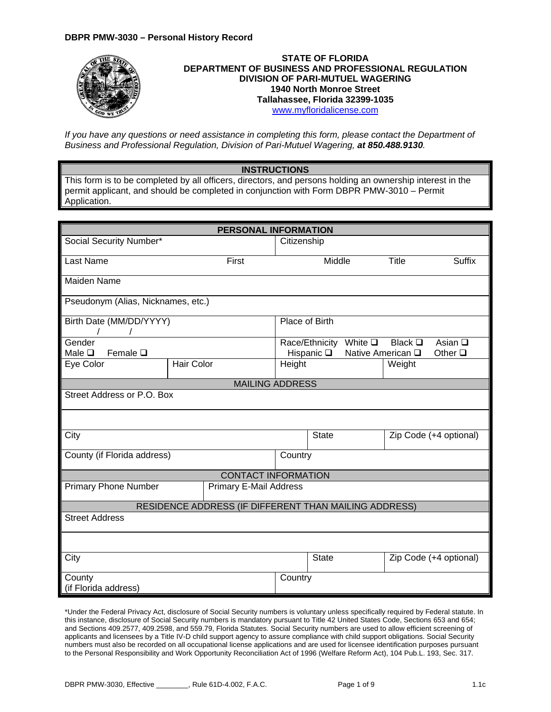## **DBPR PMW-3030 – Personal History Record**



*If you have any questions or need assistance in completing this form, please contact the Department of Business and Professional Regulation, Division of Pari-Mutuel Wagering, at 850.488.9130.*

## **INSTRUCTIONS**

This form is to be completed by all officers, directors, and persons holding an ownership interest in the permit applicant, and should be completed in conjunction with Form DBPR PMW-3010 – Permit Application.

|                                    | Citizenship |                               |                                                                                                                    |                          |                                                                            |
|------------------------------------|-------------|-------------------------------|--------------------------------------------------------------------------------------------------------------------|--------------------------|----------------------------------------------------------------------------|
| First                              |             |                               |                                                                                                                    | <b>Title</b>             | <b>Suffix</b>                                                              |
|                                    |             |                               |                                                                                                                    |                          |                                                                            |
| Pseudonym (Alias, Nicknames, etc.) |             |                               |                                                                                                                    |                          |                                                                            |
| Birth Date (MM/DD/YYYY)            |             |                               |                                                                                                                    |                          |                                                                            |
|                                    |             |                               | White $\square$                                                                                                    | Black $\square$          | Asian $\square$<br>Other $\square$                                         |
| <b>Hair Color</b>                  | Height      |                               |                                                                                                                    | Weight                   |                                                                            |
|                                    |             |                               |                                                                                                                    |                          |                                                                            |
| Street Address or P.O. Box         |             |                               |                                                                                                                    |                          |                                                                            |
|                                    |             |                               |                                                                                                                    |                          |                                                                            |
|                                    |             | <b>State</b>                  |                                                                                                                    |                          | Zip Code (+4 optional)                                                     |
| County (if Florida address)        |             |                               |                                                                                                                    |                          |                                                                            |
|                                    |             |                               |                                                                                                                    |                          |                                                                            |
|                                    |             |                               |                                                                                                                    |                          |                                                                            |
|                                    |             |                               |                                                                                                                    |                          |                                                                            |
|                                    |             |                               |                                                                                                                    |                          |                                                                            |
|                                    |             |                               |                                                                                                                    |                          |                                                                            |
|                                    |             | <b>State</b>                  |                                                                                                                    |                          | Zip Code (+4 optional)                                                     |
|                                    |             |                               |                                                                                                                    |                          |                                                                            |
|                                    |             | <b>Primary E-Mail Address</b> | Place of Birth<br>Hispanic $\square$<br><b>MAILING ADDRESS</b><br>Country<br><b>CONTACT INFORMATION</b><br>Country | Middle<br>Race/Ethnicity | Native American Q<br>RESIDENCE ADDRESS (IF DIFFERENT THAN MAILING ADDRESS) |

\*Under the Federal Privacy Act, disclosure of Social Security numbers is voluntary unless specifically required by Federal statute. In this instance, disclosure of Social Security numbers is mandatory pursuant to Title 42 United States Code, Sections 653 and 654; and Sections 409.2577, 409.2598, and 559.79, Florida Statutes. Social Security numbers are used to allow efficient screening of applicants and licensees by a Title IV-D child support agency to assure compliance with child support obligations. Social Security numbers must also be recorded on all occupational license applications and are used for licensee identification purposes pursuant to the Personal Responsibility and Work Opportunity Reconciliation Act of 1996 (Welfare Reform Act), 104 Pub.L. 193, Sec. 317.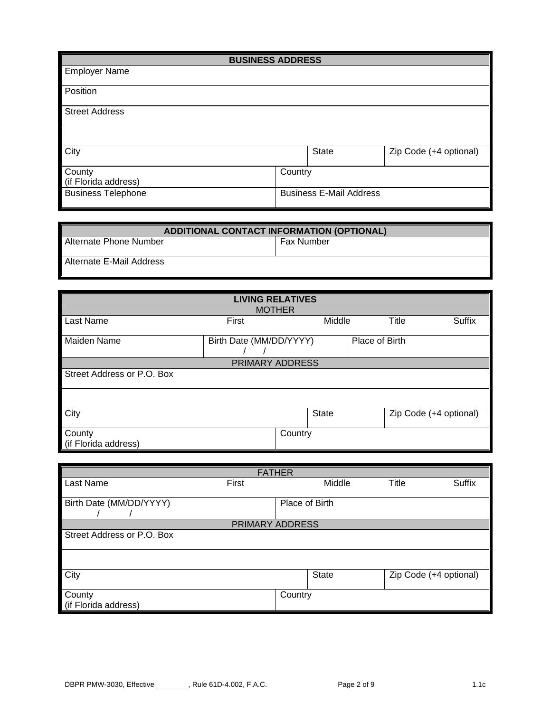| <b>BUSINESS ADDRESS</b>        |         |                                |                        |  |  |  |
|--------------------------------|---------|--------------------------------|------------------------|--|--|--|
| <b>Employer Name</b>           |         |                                |                        |  |  |  |
| Position                       |         |                                |                        |  |  |  |
| <b>Street Address</b>          |         |                                |                        |  |  |  |
|                                |         |                                |                        |  |  |  |
| <b>City</b>                    | State   |                                | Zip Code (+4 optional) |  |  |  |
| County<br>(if Florida address) | Country |                                |                        |  |  |  |
| <b>Business Telephone</b>      |         | <b>Business E-Mail Address</b> |                        |  |  |  |

| ADDITIONAL CONTACT INFORMATION (OPTIONAL) |                   |  |  |  |
|-------------------------------------------|-------------------|--|--|--|
| Alternate Phone Number                    | <b>Fax Number</b> |  |  |  |
| Alternate E-Mail Address                  |                   |  |  |  |

| <b>LIVING RELATIVES</b>    |                                           |         |        |  |                               |  |  |  |
|----------------------------|-------------------------------------------|---------|--------|--|-------------------------------|--|--|--|
| <b>MOTHER</b>              |                                           |         |        |  |                               |  |  |  |
| Last Name                  | First                                     |         | Middle |  | <b>Title</b><br><b>Suffix</b> |  |  |  |
| <b>Maiden Name</b>         | Birth Date (MM/DD/YYYY)<br>Place of Birth |         |        |  |                               |  |  |  |
|                            | PRIMARY ADDRESS                           |         |        |  |                               |  |  |  |
| Street Address or P.O. Box |                                           |         |        |  |                               |  |  |  |
|                            |                                           |         |        |  |                               |  |  |  |
| City                       |                                           |         | State  |  | Zip Code (+4 optional)        |  |  |  |
| County                     |                                           | Country |        |  |                               |  |  |  |
| (if Florida address)       |                                           |         |        |  |                               |  |  |  |

| <b>FATHER</b>                  |                 |         |        |       |                        |  |  |
|--------------------------------|-----------------|---------|--------|-------|------------------------|--|--|
| Last Name                      | First           |         | Middle | Title | <b>Suffix</b>          |  |  |
| Birth Date (MM/DD/YYYY)        | Place of Birth  |         |        |       |                        |  |  |
|                                | PRIMARY ADDRESS |         |        |       |                        |  |  |
| Street Address or P.O. Box     |                 |         |        |       |                        |  |  |
|                                |                 |         |        |       |                        |  |  |
| City                           |                 |         | State  |       | Zip Code (+4 optional) |  |  |
| County<br>(if Florida address) |                 | Country |        |       |                        |  |  |
|                                |                 |         |        |       |                        |  |  |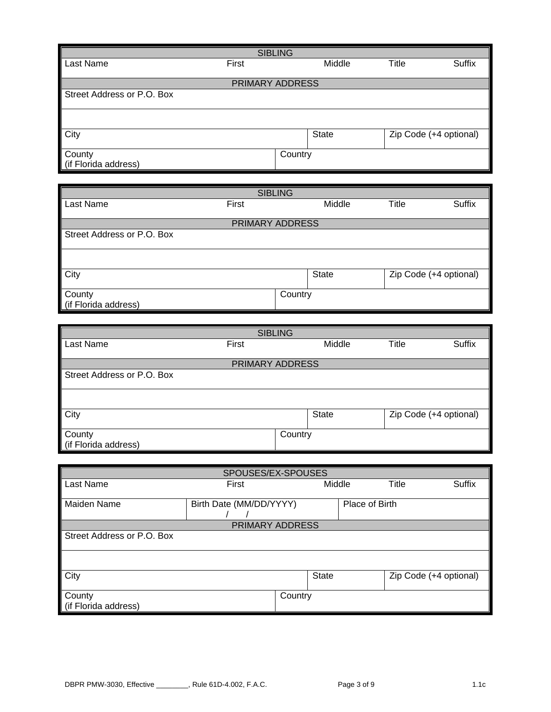| <b>SIBLING</b>                        |       |         |              |       |                        |  |  |
|---------------------------------------|-------|---------|--------------|-------|------------------------|--|--|
| Last Name                             | First |         | Middle       | Title | <b>Suffix</b>          |  |  |
| PRIMARY ADDRESS                       |       |         |              |       |                        |  |  |
| Street Address or P.O. Box            |       |         |              |       |                        |  |  |
|                                       |       |         |              |       |                        |  |  |
| <b>City</b>                           |       |         | <b>State</b> |       | Zip Code (+4 optional) |  |  |
| <b>County</b><br>(if Florida address) |       | Country |              |       |                        |  |  |

| <b>SIBLING</b>             |                 |              |                                     |               |  |  |
|----------------------------|-----------------|--------------|-------------------------------------|---------------|--|--|
| Last Name                  | First           | Middle       | <b>Title</b>                        | <b>Suffix</b> |  |  |
|                            |                 |              |                                     |               |  |  |
|                            | PRIMARY ADDRESS |              |                                     |               |  |  |
| Street Address or P.O. Box |                 |              |                                     |               |  |  |
|                            |                 |              |                                     |               |  |  |
| City                       |                 | <b>State</b> | $\overline{Zip}$ Code (+4 optional) |               |  |  |
| County                     | Country         |              |                                     |               |  |  |
| (if Florida address)       |                 |              |                                     |               |  |  |

| <b>SIBLING</b>             |                 |         |              |              |                        |  |
|----------------------------|-----------------|---------|--------------|--------------|------------------------|--|
| Last Name                  | First           |         | Middle       | <b>Title</b> | <b>Suffix</b>          |  |
|                            |                 |         |              |              |                        |  |
|                            | PRIMARY ADDRESS |         |              |              |                        |  |
| Street Address or P.O. Box |                 |         |              |              |                        |  |
|                            |                 |         |              |              |                        |  |
| City                       |                 |         | <b>State</b> |              | Zip Code (+4 optional) |  |
| County                     |                 | Country |              |              |                        |  |
| (if Florida address)       |                 |         |              |              |                        |  |

| SPOUSES/EX-SPOUSES         |                         |         |              |                |                        |        |
|----------------------------|-------------------------|---------|--------------|----------------|------------------------|--------|
| Last Name                  | First                   |         | Middle       |                | <b>Title</b>           | Suffix |
|                            |                         |         |              |                |                        |        |
| Maiden Name                | Birth Date (MM/DD/YYYY) |         |              | Place of Birth |                        |        |
|                            |                         |         |              |                |                        |        |
|                            | PRIMARY ADDRESS         |         |              |                |                        |        |
| Street Address or P.O. Box |                         |         |              |                |                        |        |
|                            |                         |         |              |                |                        |        |
| City                       |                         |         | <b>State</b> |                | Zip Code (+4 optional) |        |
| County                     |                         | Country |              |                |                        |        |
| (if Florida address)       |                         |         |              |                |                        |        |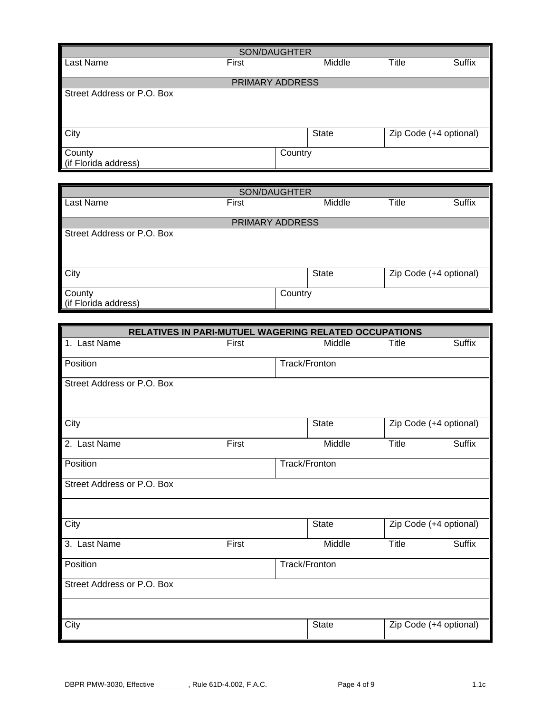| SON/DAUGHTER               |                 |         |              |       |                                     |  |  |
|----------------------------|-----------------|---------|--------------|-------|-------------------------------------|--|--|
| Last Name                  | First           |         | Middle       | Title | Suffix                              |  |  |
|                            |                 |         |              |       |                                     |  |  |
|                            | PRIMARY ADDRESS |         |              |       |                                     |  |  |
| Street Address or P.O. Box |                 |         |              |       |                                     |  |  |
|                            |                 |         |              |       |                                     |  |  |
|                            |                 |         |              |       |                                     |  |  |
|                            |                 |         |              |       |                                     |  |  |
| <b>City</b>                |                 |         | <b>State</b> |       | $\overline{Zip}$ Code (+4 optional) |  |  |
|                            |                 |         |              |       |                                     |  |  |
| County                     |                 | Country |              |       |                                     |  |  |
| (if Florida address)       |                 |         |              |       |                                     |  |  |

| SON/DAUGHTER                   |       |              |              |                        |  |  |  |
|--------------------------------|-------|--------------|--------------|------------------------|--|--|--|
| Last Name                      | First | Middle       | <b>Title</b> | Suffix                 |  |  |  |
| PRIMARY ADDRESS                |       |              |              |                        |  |  |  |
| Street Address or P.O. Box     |       |              |              |                        |  |  |  |
|                                |       |              |              |                        |  |  |  |
| <b>City</b>                    |       | <b>State</b> |              | Zip Code (+4 optional) |  |  |  |
| County<br>lif Florida address) |       | Country      |              |                        |  |  |  |

| RELATIVES IN PARI-MUTUEL WAGERING RELATED OCCUPATIONS |       |               |              |                        |  |  |
|-------------------------------------------------------|-------|---------------|--------------|------------------------|--|--|
| 1. Last Name                                          | First | Middle        | <b>Title</b> | <b>Suffix</b>          |  |  |
| Position                                              |       | Track/Fronton |              |                        |  |  |
| Street Address or P.O. Box                            |       |               |              |                        |  |  |
| City                                                  |       | State         |              | Zip Code (+4 optional) |  |  |
| 2. Last Name                                          | First | Middle        | Title        | <b>Suffix</b>          |  |  |
| Position                                              |       | Track/Fronton |              |                        |  |  |
| Street Address or P.O. Box                            |       |               |              |                        |  |  |
| City                                                  |       | <b>State</b>  |              | Zip Code (+4 optional) |  |  |
| 3. Last Name                                          | First | Middle        | <b>Title</b> | Suffix                 |  |  |
| Position                                              |       | Track/Fronton |              |                        |  |  |
| Street Address or P.O. Box                            |       |               |              |                        |  |  |
| City                                                  |       | <b>State</b>  |              | Zip Code (+4 optional) |  |  |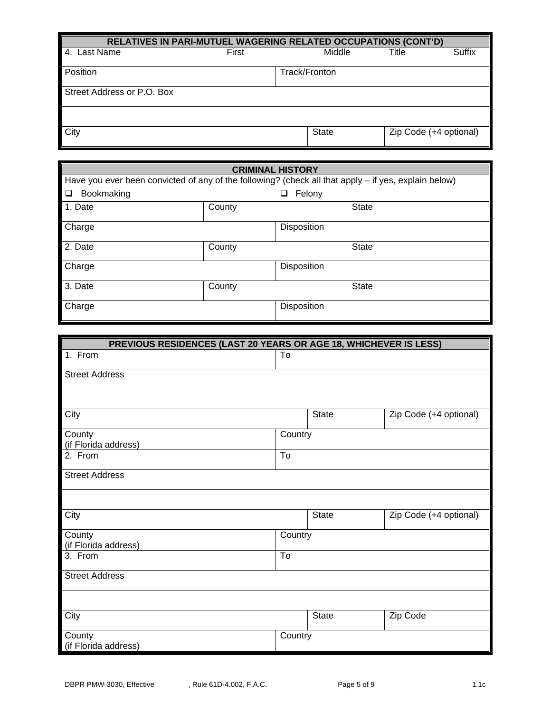| RELATIVES IN PARI-MUTUEL WAGERING RELATED OCCUPATIONS (CONT'D) |       |               |                        |  |
|----------------------------------------------------------------|-------|---------------|------------------------|--|
| Last Name                                                      | First | Middle        | Suffix<br>Title        |  |
| Position                                                       |       | Track/Fronton |                        |  |
| Street Address or P.O. Box                                     |       |               |                        |  |
|                                                                |       |               |                        |  |
| <b>City</b>                                                    |       | <b>State</b>  | Zip Code (+4 optional) |  |

| <b>CRIMINAL HISTORY</b>                                                                              |        |             |              |  |
|------------------------------------------------------------------------------------------------------|--------|-------------|--------------|--|
| Have you ever been convicted of any of the following? (check all that apply - if yes, explain below) |        |             |              |  |
| Bookmaking<br>□                                                                                      |        | Felony<br>⊔ |              |  |
| 1. Date                                                                                              | County |             | <b>State</b> |  |
| Charge                                                                                               |        | Disposition |              |  |
| 2. Date                                                                                              | County |             | <b>State</b> |  |
| Charge                                                                                               |        | Disposition |              |  |
| 3. Date                                                                                              | County |             | <b>State</b> |  |
| Charge                                                                                               |        | Disposition |              |  |

| PREVIOUS RESIDENCES (LAST 20 YEARS OR AGE 18, WHICHEVER IS LESS) |                        |              |                        |
|------------------------------------------------------------------|------------------------|--------------|------------------------|
| 1. From                                                          | To                     |              |                        |
| <b>Street Address</b>                                            |                        |              |                        |
|                                                                  |                        |              |                        |
| City                                                             |                        | <b>State</b> | Zip Code (+4 optional) |
| County<br>(if Florida address)                                   | Country                |              |                        |
| 2. From                                                          | $\overline{\text{To}}$ |              |                        |
| <b>Street Address</b>                                            |                        |              |                        |
|                                                                  |                        |              |                        |
| City                                                             |                        | <b>State</b> | Zip Code (+4 optional) |
| County<br>(if Florida address)                                   | Country                |              |                        |
| 3. From                                                          | $\overline{\text{To}}$ |              |                        |
| <b>Street Address</b>                                            |                        |              |                        |
|                                                                  |                        |              |                        |
| City                                                             |                        | <b>State</b> | Zip Code               |
| County<br>(if Florida address)                                   | Country                |              |                        |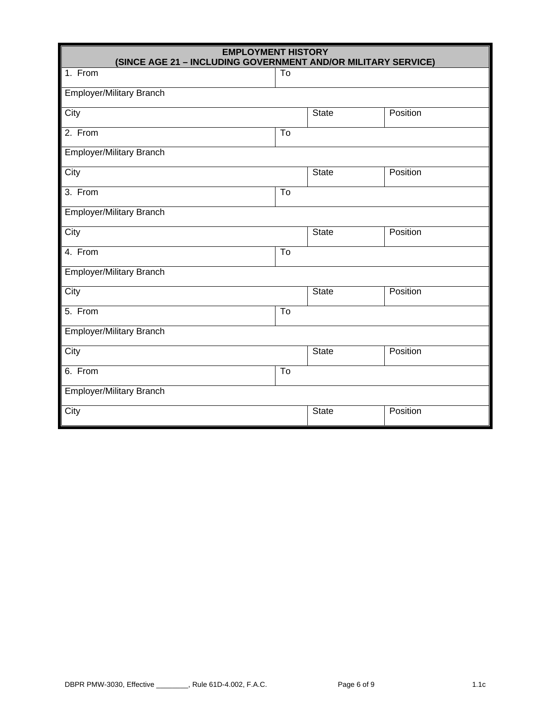| <b>EMPLOYMENT HISTORY</b><br>(SINCE AGE 21 - INCLUDING GOVERNMENT AND/OR MILITARY SERVICE) |                        |              |          |
|--------------------------------------------------------------------------------------------|------------------------|--------------|----------|
| 1. From                                                                                    | To                     |              |          |
| <b>Employer/Military Branch</b>                                                            |                        |              |          |
| City                                                                                       |                        | <b>State</b> | Position |
| 2. From                                                                                    | $\overline{\text{To}}$ |              |          |
| <b>Employer/Military Branch</b>                                                            |                        |              |          |
| City                                                                                       |                        | State        | Position |
| 3. From                                                                                    | To                     |              |          |
| Employer/Military Branch                                                                   |                        |              |          |
| City                                                                                       |                        | <b>State</b> | Position |
| 4. From                                                                                    | $\overline{\text{To}}$ |              |          |
| <b>Employer/Military Branch</b>                                                            |                        |              |          |
| City                                                                                       |                        | <b>State</b> | Position |
| 5. From                                                                                    | $\overline{\text{To}}$ |              |          |
| <b>Employer/Military Branch</b>                                                            |                        |              |          |
| City                                                                                       |                        | <b>State</b> | Position |
| 6. From                                                                                    | $\overline{\text{To}}$ |              |          |
| <b>Employer/Military Branch</b>                                                            |                        |              |          |
| City                                                                                       |                        | State        | Position |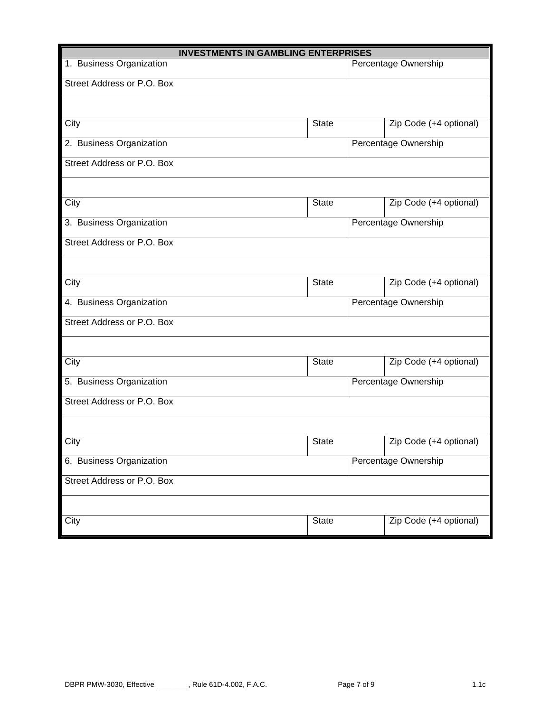| <b>INVESTMENTS IN GAMBLING ENTERPRISES</b> |              |  |                        |
|--------------------------------------------|--------------|--|------------------------|
| 1. Business Organization                   |              |  | Percentage Ownership   |
| Street Address or P.O. Box                 |              |  |                        |
|                                            |              |  |                        |
| City                                       | State        |  | Zip Code (+4 optional) |
| 2. Business Organization                   |              |  | Percentage Ownership   |
| Street Address or P.O. Box                 |              |  |                        |
|                                            |              |  |                        |
| City                                       | <b>State</b> |  | Zip Code (+4 optional) |
| 3. Business Organization                   |              |  | Percentage Ownership   |
| Street Address or P.O. Box                 |              |  |                        |
|                                            |              |  |                        |
| City                                       | <b>State</b> |  | Zip Code (+4 optional) |
| 4. Business Organization                   |              |  | Percentage Ownership   |
| Street Address or P.O. Box                 |              |  |                        |
|                                            |              |  |                        |
| City                                       | <b>State</b> |  | Zip Code (+4 optional) |
| 5. Business Organization                   |              |  | Percentage Ownership   |
| Street Address or P.O. Box                 |              |  |                        |
|                                            |              |  |                        |
| City                                       | <b>State</b> |  | Zip Code (+4 optional) |
| 6. Business Organization                   |              |  | Percentage Ownership   |
| Street Address or P.O. Box                 |              |  |                        |
|                                            |              |  |                        |
| City                                       | <b>State</b> |  | Zip Code (+4 optional) |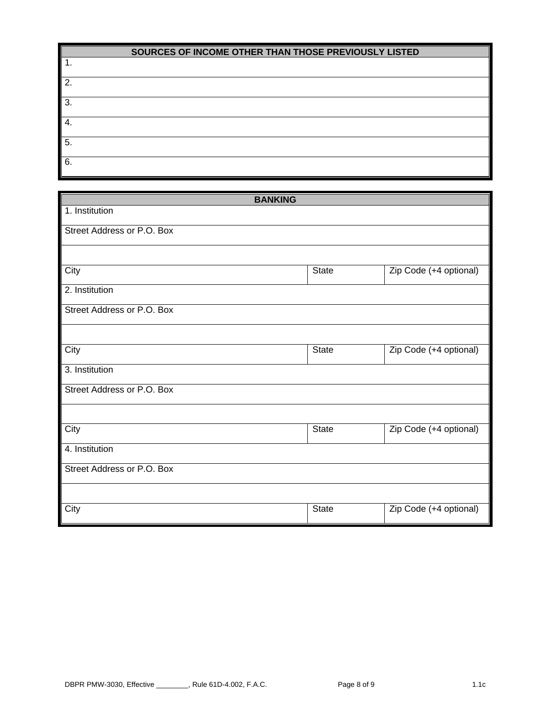| SOURCES OF INCOME OTHER THAN THOSE PREVIOUSLY LISTED |
|------------------------------------------------------|
|------------------------------------------------------|

| . . |  |
|-----|--|
| 2.  |  |
| 3.  |  |
| 4.  |  |
| 5.  |  |
| 6.  |  |

| <b>BANKING</b>             |              |                        |
|----------------------------|--------------|------------------------|
| 1. Institution             |              |                        |
| Street Address or P.O. Box |              |                        |
|                            |              |                        |
|                            |              |                        |
| City                       | State        | Zip Code (+4 optional) |
| 2. Institution             |              |                        |
| Street Address or P.O. Box |              |                        |
|                            |              |                        |
| City                       | State        | Zip Code (+4 optional) |
| 3. Institution             |              |                        |
| Street Address or P.O. Box |              |                        |
|                            |              |                        |
| City                       | <b>State</b> | Zip Code (+4 optional) |
| 4. Institution             |              |                        |
| Street Address or P.O. Box |              |                        |
|                            |              |                        |
| City                       | <b>State</b> | Zip Code (+4 optional) |